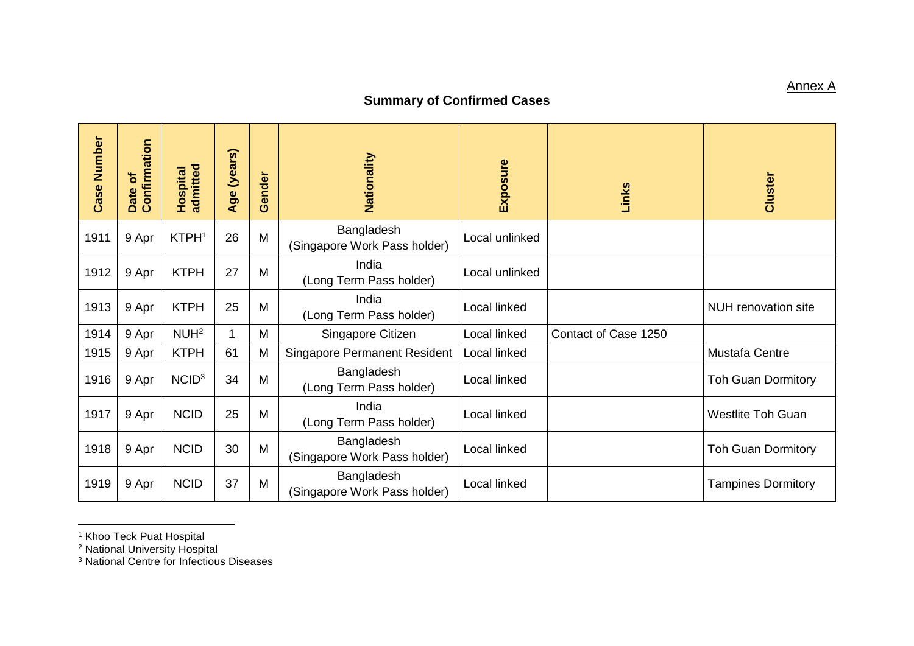## **Summary of Confirmed Cases**

| <b>Case Number</b> | Confirmation<br>ð<br>Date | admitted<br><b>Hospital</b> | (years)<br>Age | iender<br>Õ | Nationality                                | Exposure       | Links                | Cluster                    |
|--------------------|---------------------------|-----------------------------|----------------|-------------|--------------------------------------------|----------------|----------------------|----------------------------|
| 1911               | 9 Apr                     | KTPH <sup>1</sup>           | 26             | M           | Bangladesh<br>(Singapore Work Pass holder) | Local unlinked |                      |                            |
| 1912               | 9 Apr                     | <b>KTPH</b>                 | 27             | M           | India<br>(Long Term Pass holder)           | Local unlinked |                      |                            |
| 1913               | 9 Apr                     | <b>KTPH</b>                 | 25             | M           | India<br>(Long Term Pass holder)           | Local linked   |                      | <b>NUH</b> renovation site |
| 1914               | 9 Apr                     | NUH <sup>2</sup>            | 1              | M           | Singapore Citizen                          | Local linked   | Contact of Case 1250 |                            |
| 1915               | 9 Apr                     | <b>KTPH</b>                 | 61             | M           | <b>Singapore Permanent Resident</b>        | Local linked   |                      | Mustafa Centre             |
| 1916               | 9 Apr                     | NCID <sup>3</sup>           | 34             | M           | Bangladesh<br>(Long Term Pass holder)      | Local linked   |                      | <b>Toh Guan Dormitory</b>  |
| 1917               | 9 Apr                     | <b>NCID</b>                 | 25             | M           | India<br>(Long Term Pass holder)           | Local linked   |                      | <b>Westlite Toh Guan</b>   |
| 1918               | 9 Apr                     | <b>NCID</b>                 | 30             | M           | Bangladesh<br>(Singapore Work Pass holder) | Local linked   |                      | <b>Toh Guan Dormitory</b>  |
| 1919               | 9 Apr                     | <b>NCID</b>                 | 37             | M           | Bangladesh<br>(Singapore Work Pass holder) | Local linked   |                      | <b>Tampines Dormitory</b>  |

<sup>1</sup> Khoo Teck Puat Hospital

 $\overline{a}$ 

<sup>2</sup> National University Hospital

<sup>3</sup> National Centre for Infectious Diseases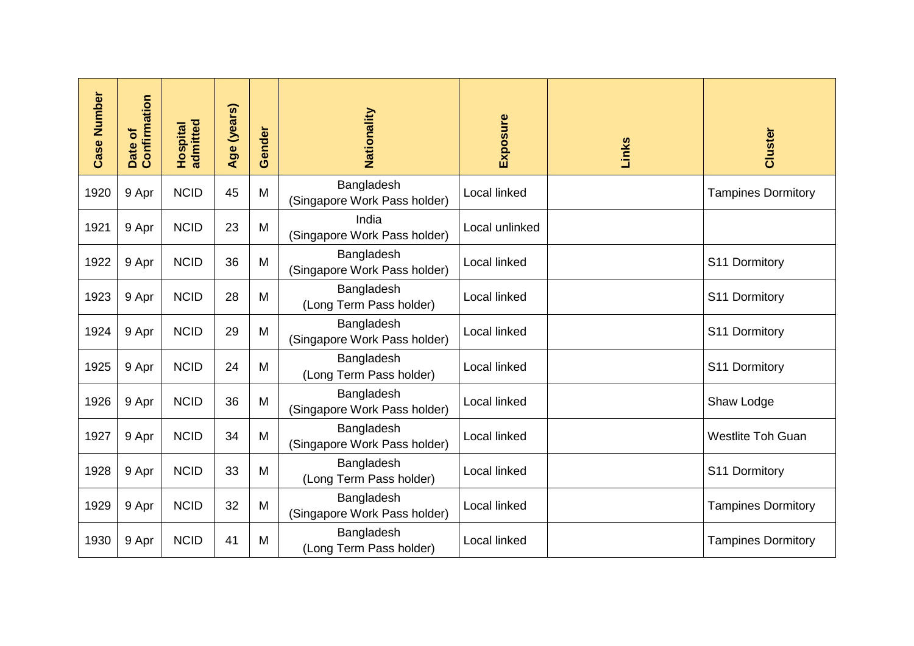| <b>Case Number</b> | Confirmation<br>Date of | admitted<br>Hospital | Age (years) | Gender | Nationality                                | Exposure       | Links | Cluster                   |
|--------------------|-------------------------|----------------------|-------------|--------|--------------------------------------------|----------------|-------|---------------------------|
| 1920               | 9 Apr                   | <b>NCID</b>          | 45          | M      | Bangladesh<br>(Singapore Work Pass holder) | Local linked   |       | <b>Tampines Dormitory</b> |
| 1921               | 9 Apr                   | <b>NCID</b>          | 23          | M      | India<br>(Singapore Work Pass holder)      | Local unlinked |       |                           |
| 1922               | 9 Apr                   | <b>NCID</b>          | 36          | M      | Bangladesh<br>(Singapore Work Pass holder) | Local linked   |       | S11 Dormitory             |
| 1923               | 9 Apr                   | <b>NCID</b>          | 28          | M      | Bangladesh<br>(Long Term Pass holder)      | Local linked   |       | S11 Dormitory             |
| 1924               | 9 Apr                   | <b>NCID</b>          | 29          | M      | Bangladesh<br>(Singapore Work Pass holder) | Local linked   |       | S11 Dormitory             |
| 1925               | 9 Apr                   | <b>NCID</b>          | 24          | M      | Bangladesh<br>(Long Term Pass holder)      | Local linked   |       | S11 Dormitory             |
| 1926               | 9 Apr                   | <b>NCID</b>          | 36          | M      | Bangladesh<br>(Singapore Work Pass holder) | Local linked   |       | Shaw Lodge                |
| 1927               | 9 Apr                   | <b>NCID</b>          | 34          | M      | Bangladesh<br>(Singapore Work Pass holder) | Local linked   |       | <b>Westlite Toh Guan</b>  |
| 1928               | 9 Apr                   | <b>NCID</b>          | 33          | M      | Bangladesh<br>(Long Term Pass holder)      | Local linked   |       | S11 Dormitory             |
| 1929               | 9 Apr                   | <b>NCID</b>          | 32          | M      | Bangladesh<br>(Singapore Work Pass holder) | Local linked   |       | <b>Tampines Dormitory</b> |
| 1930               | 9 Apr                   | <b>NCID</b>          | 41          | M      | Bangladesh<br>(Long Term Pass holder)      | Local linked   |       | <b>Tampines Dormitory</b> |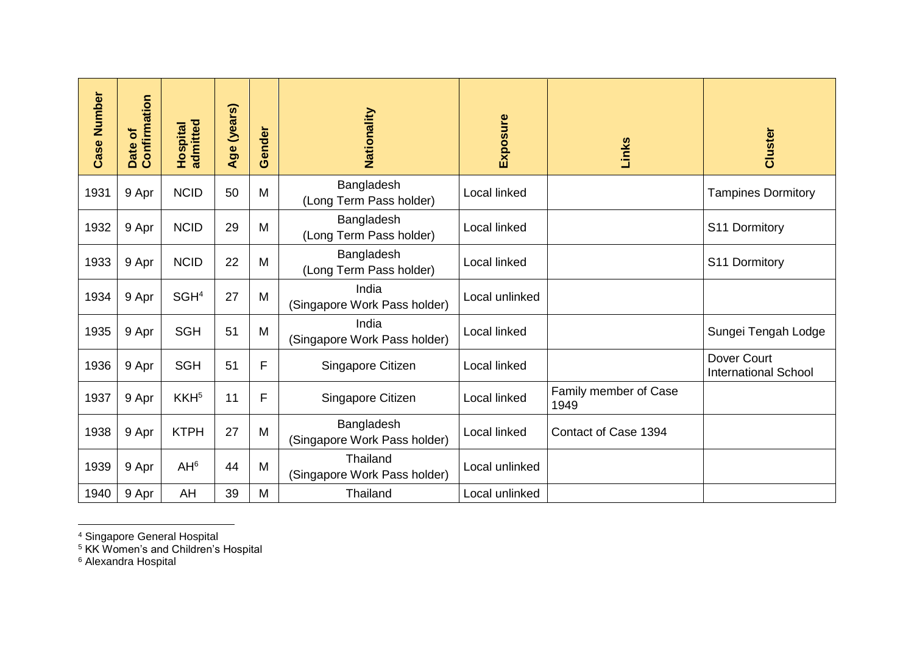| <b>Case Number</b> | Confirmation<br>Date of | admitted<br>Hospital | Age (years) | Gender       | Nationality                                | Exposure       | Links                         | Cluster                                    |
|--------------------|-------------------------|----------------------|-------------|--------------|--------------------------------------------|----------------|-------------------------------|--------------------------------------------|
| 1931               | 9 Apr                   | <b>NCID</b>          | 50          | M            | Bangladesh<br>(Long Term Pass holder)      | Local linked   |                               | <b>Tampines Dormitory</b>                  |
| 1932               | 9 Apr                   | <b>NCID</b>          | 29          | M            | Bangladesh<br>(Long Term Pass holder)      | Local linked   |                               | S11 Dormitory                              |
| 1933               | 9 Apr                   | <b>NCID</b>          | 22          | M            | Bangladesh<br>(Long Term Pass holder)      | Local linked   |                               | S11 Dormitory                              |
| 1934               | 9 Apr                   | SGH <sup>4</sup>     | 27          | M            | India<br>(Singapore Work Pass holder)      | Local unlinked |                               |                                            |
| 1935               | 9 Apr                   | <b>SGH</b>           | 51          | M            | India<br>(Singapore Work Pass holder)      | Local linked   |                               | Sungei Tengah Lodge                        |
| 1936               | 9 Apr                   | <b>SGH</b>           | 51          | $\mathsf{F}$ | Singapore Citizen                          | Local linked   |                               | Dover Court<br><b>International School</b> |
| 1937               | 9 Apr                   | KKH <sup>5</sup>     | 11          | F            | Singapore Citizen                          | Local linked   | Family member of Case<br>1949 |                                            |
| 1938               | 9 Apr                   | <b>KTPH</b>          | 27          | M            | Bangladesh<br>(Singapore Work Pass holder) | Local linked   | Contact of Case 1394          |                                            |
| 1939               | 9 Apr                   | AH <sup>6</sup>      | 44          | M            | Thailand<br>(Singapore Work Pass holder)   | Local unlinked |                               |                                            |
| 1940               | 9 Apr                   | AH                   | 39          | M            | Thailand                                   | Local unlinked |                               |                                            |

## <sup>4</sup> Singapore General Hospital

<sup>5</sup> KK Women's and Children's Hospital

<sup>6</sup> Alexandra Hospital

 $\overline{a}$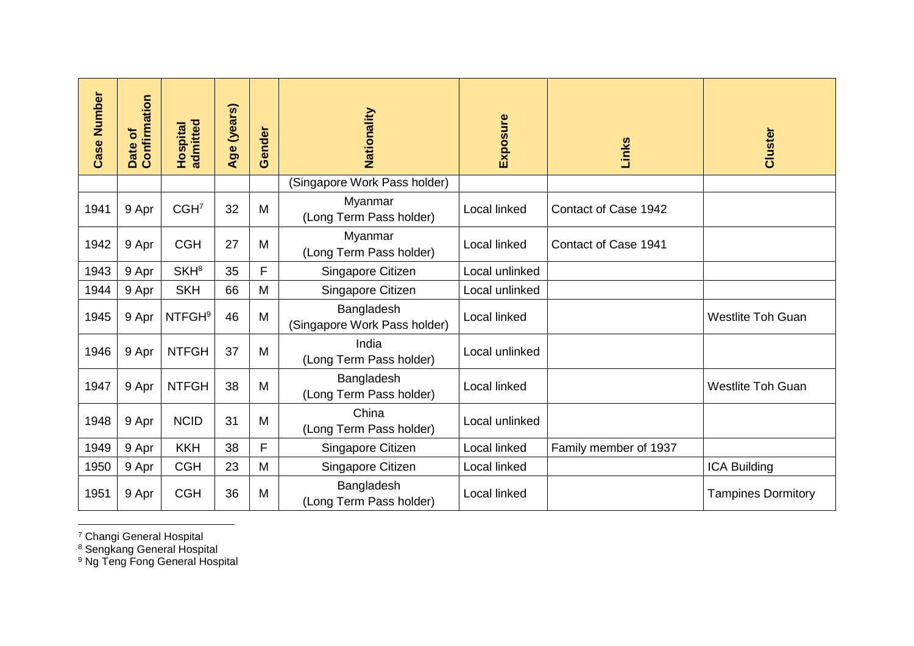| <b>Case Number</b> | Confirmation<br>đ<br>Date | admitted<br>Hospital     | Age (years) | Gender | Nationality                                | Exposure       | Links                 | Cluster                   |
|--------------------|---------------------------|--------------------------|-------------|--------|--------------------------------------------|----------------|-----------------------|---------------------------|
|                    |                           |                          |             |        | (Singapore Work Pass holder)               |                |                       |                           |
| 1941               | 9 Apr                     | CGH <sup>7</sup>         | 32          | M      | Myanmar<br>(Long Term Pass holder)         | Local linked   | Contact of Case 1942  |                           |
| 1942               | 9 Apr                     | <b>CGH</b>               | 27          | M      | Myanmar<br>(Long Term Pass holder)         | Local linked   | Contact of Case 1941  |                           |
| 1943               | 9 Apr                     | SKH <sup>8</sup>         | 35          | F      | Singapore Citizen                          | Local unlinked |                       |                           |
| 1944               | 9 Apr                     | <b>SKH</b>               | 66          | M      | Singapore Citizen                          | Local unlinked |                       |                           |
| 1945               | 9 Apr                     | <b>NTFGH<sup>9</sup></b> | 46          | M      | Bangladesh<br>(Singapore Work Pass holder) | Local linked   |                       | <b>Westlite Toh Guan</b>  |
| 1946               | 9 Apr                     | <b>NTFGH</b>             | 37          | M      | India<br>(Long Term Pass holder)           | Local unlinked |                       |                           |
| 1947               | 9 Apr                     | <b>NTFGH</b>             | 38          | M      | Bangladesh<br>(Long Term Pass holder)      | Local linked   |                       | <b>Westlite Toh Guan</b>  |
| 1948               | 9 Apr                     | <b>NCID</b>              | 31          | M      | China<br>(Long Term Pass holder)           | Local unlinked |                       |                           |
| 1949               | 9 Apr                     | <b>KKH</b>               | 38          | F      | Singapore Citizen                          | Local linked   | Family member of 1937 |                           |
| 1950               | 9 Apr                     | <b>CGH</b>               | 23          | M      | Singapore Citizen                          | Local linked   |                       | <b>ICA Building</b>       |
| 1951               | 9 Apr                     | <b>CGH</b>               | 36          | M      | Bangladesh<br>(Long Term Pass holder)      | Local linked   |                       | <b>Tampines Dormitory</b> |

 $\overline{a}$ <sup>7</sup> Changi General Hospital

<sup>8</sup> Sengkang General Hospital

<sup>9</sup> Ng Teng Fong General Hospital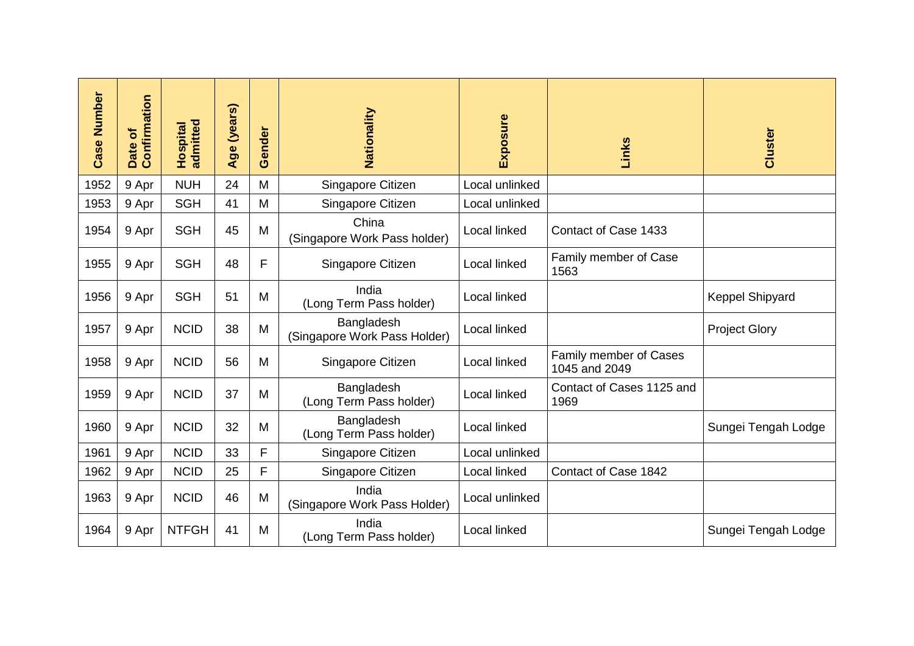| <b>Case Number</b> | Confirmation<br>Date of | admitted<br>Hospital | (years)<br>Age | ender<br>Ŏ | Nationality                                | Exposure       | Links                                   | Cluster              |
|--------------------|-------------------------|----------------------|----------------|------------|--------------------------------------------|----------------|-----------------------------------------|----------------------|
| 1952               | 9 Apr                   | <b>NUH</b>           | 24             | M          | Singapore Citizen                          | Local unlinked |                                         |                      |
| 1953               | 9 Apr                   | <b>SGH</b>           | 41             | M          | Singapore Citizen                          | Local unlinked |                                         |                      |
| 1954               | 9 Apr                   | <b>SGH</b>           | 45             | M          | China<br>(Singapore Work Pass holder)      | Local linked   | Contact of Case 1433                    |                      |
| 1955               | 9 Apr                   | <b>SGH</b>           | 48             | F          | Singapore Citizen                          | Local linked   | Family member of Case<br>1563           |                      |
| 1956               | 9 Apr                   | <b>SGH</b>           | 51             | M          | India<br>(Long Term Pass holder)           | Local linked   |                                         | Keppel Shipyard      |
| 1957               | 9 Apr                   | <b>NCID</b>          | 38             | M          | Bangladesh<br>(Singapore Work Pass Holder) | Local linked   |                                         | <b>Project Glory</b> |
| 1958               | 9 Apr                   | <b>NCID</b>          | 56             | M          | Singapore Citizen                          | Local linked   | Family member of Cases<br>1045 and 2049 |                      |
| 1959               | 9 Apr                   | <b>NCID</b>          | 37             | M          | Bangladesh<br>(Long Term Pass holder)      | Local linked   | Contact of Cases 1125 and<br>1969       |                      |
| 1960               | 9 Apr                   | <b>NCID</b>          | 32             | M          | Bangladesh<br>(Long Term Pass holder)      | Local linked   |                                         | Sungei Tengah Lodge  |
| 1961               | 9 Apr                   | <b>NCID</b>          | 33             | F          | Singapore Citizen                          | Local unlinked |                                         |                      |
| 1962               | 9 Apr                   | <b>NCID</b>          | 25             | F          | Singapore Citizen                          | Local linked   | Contact of Case 1842                    |                      |
| 1963               | 9 Apr                   | <b>NCID</b>          | 46             | M          | India<br>(Singapore Work Pass Holder)      | Local unlinked |                                         |                      |
| 1964               | 9 Apr                   | <b>NTFGH</b>         | 41             | M          | India<br>(Long Term Pass holder)           | Local linked   |                                         | Sungei Tengah Lodge  |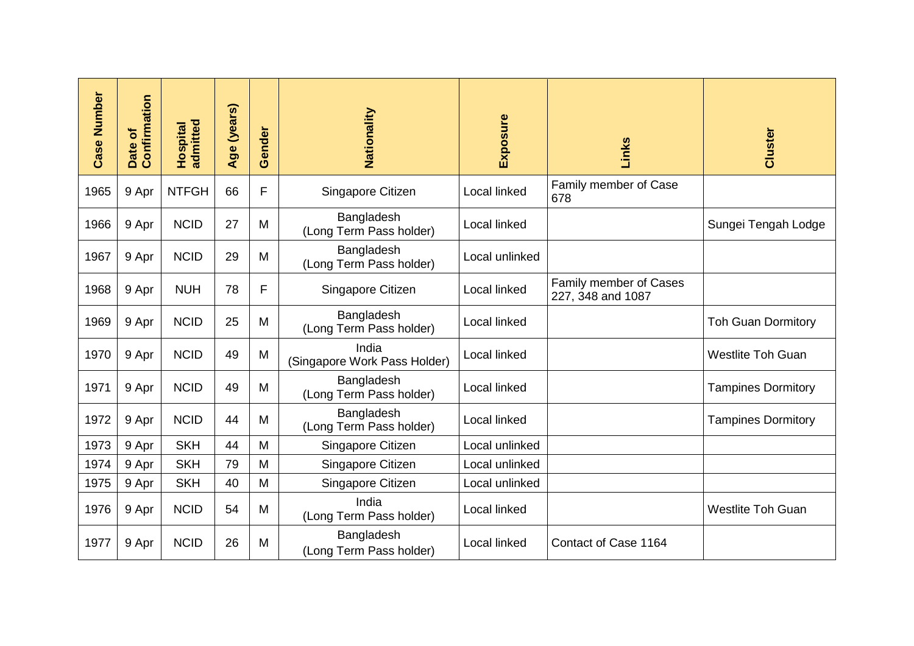| <b>Case Number</b> | Confirmation<br>৳<br>Date | admitted<br>Hospital | Age (years) | Gender | Nationality                           | Exposure       | Links                                       | Cluster                   |
|--------------------|---------------------------|----------------------|-------------|--------|---------------------------------------|----------------|---------------------------------------------|---------------------------|
| 1965               | 9 Apr                     | <b>NTFGH</b>         | 66          | F      | Singapore Citizen                     | Local linked   | Family member of Case<br>678                |                           |
| 1966               | 9 Apr                     | <b>NCID</b>          | 27          | M      | Bangladesh<br>(Long Term Pass holder) | Local linked   |                                             | Sungei Tengah Lodge       |
| 1967               | 9 Apr                     | <b>NCID</b>          | 29          | M      | Bangladesh<br>(Long Term Pass holder) | Local unlinked |                                             |                           |
| 1968               | 9 Apr                     | <b>NUH</b>           | 78          | F      | Singapore Citizen                     | Local linked   | Family member of Cases<br>227, 348 and 1087 |                           |
| 1969               | 9 Apr                     | <b>NCID</b>          | 25          | M      | Bangladesh<br>(Long Term Pass holder) | Local linked   |                                             | <b>Toh Guan Dormitory</b> |
| 1970               | 9 Apr                     | <b>NCID</b>          | 49          | M      | India<br>(Singapore Work Pass Holder) | Local linked   |                                             | <b>Westlite Toh Guan</b>  |
| 1971               | 9 Apr                     | <b>NCID</b>          | 49          | M      | Bangladesh<br>(Long Term Pass holder) | Local linked   |                                             | <b>Tampines Dormitory</b> |
| 1972               | 9 Apr                     | <b>NCID</b>          | 44          | M      | Bangladesh<br>(Long Term Pass holder) | Local linked   |                                             | <b>Tampines Dormitory</b> |
| 1973               | 9 Apr                     | <b>SKH</b>           | 44          | M      | Singapore Citizen                     | Local unlinked |                                             |                           |
| 1974               | 9 Apr                     | <b>SKH</b>           | 79          | M      | Singapore Citizen                     | Local unlinked |                                             |                           |
| 1975               | 9 Apr                     | <b>SKH</b>           | 40          | M      | Singapore Citizen                     | Local unlinked |                                             |                           |
| 1976               | 9 Apr                     | <b>NCID</b>          | 54          | M      | India<br>(Long Term Pass holder)      | Local linked   |                                             | <b>Westlite Toh Guan</b>  |
| 1977               | 9 Apr                     | <b>NCID</b>          | 26          | M      | Bangladesh<br>(Long Term Pass holder) | Local linked   | Contact of Case 1164                        |                           |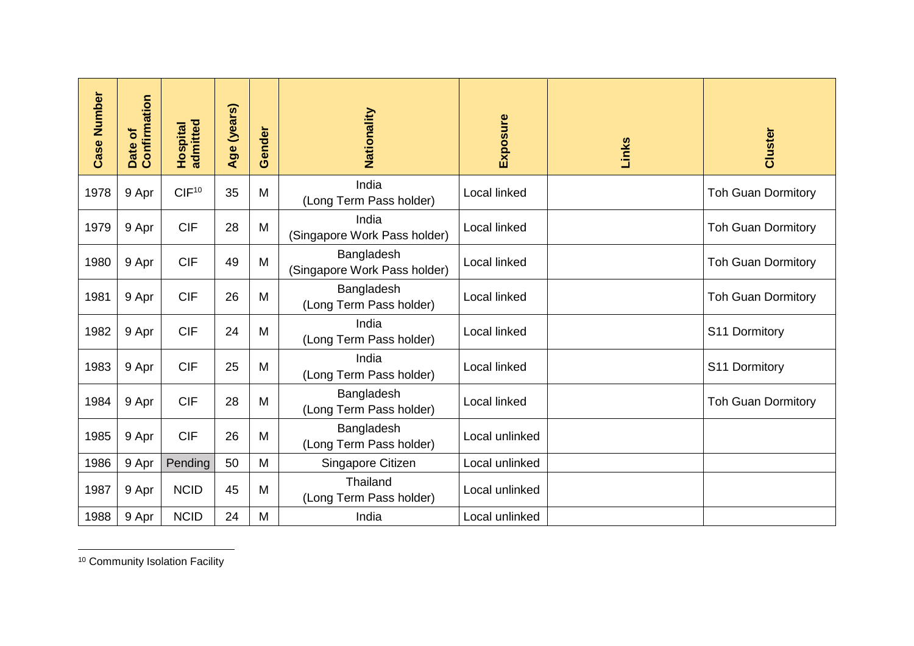| <b>Case Number</b> | Confirmation<br>Date of | Hospital<br>admitted | Age (years) | Gender | Nationality                                | Exposure       | Links | Cluster                   |
|--------------------|-------------------------|----------------------|-------------|--------|--------------------------------------------|----------------|-------|---------------------------|
| 1978               | 9 Apr                   | CIF <sup>10</sup>    | 35          | M      | India<br>(Long Term Pass holder)           | Local linked   |       | <b>Toh Guan Dormitory</b> |
| 1979               | 9 Apr                   | <b>CIF</b>           | 28          | M      | India<br>(Singapore Work Pass holder)      | Local linked   |       | <b>Toh Guan Dormitory</b> |
| 1980               | 9 Apr                   | <b>CIF</b>           | 49          | M      | Bangladesh<br>(Singapore Work Pass holder) | Local linked   |       | <b>Toh Guan Dormitory</b> |
| 1981               | 9 Apr                   | <b>CIF</b>           | 26          | M      | Bangladesh<br>(Long Term Pass holder)      | Local linked   |       | <b>Toh Guan Dormitory</b> |
| 1982               | 9 Apr                   | <b>CIF</b>           | 24          | M      | India<br>(Long Term Pass holder)           | Local linked   |       | S11 Dormitory             |
| 1983               | 9 Apr                   | <b>CIF</b>           | 25          | M      | India<br>(Long Term Pass holder)           | Local linked   |       | S11 Dormitory             |
| 1984               | 9 Apr                   | <b>CIF</b>           | 28          | M      | Bangladesh<br>(Long Term Pass holder)      | Local linked   |       | <b>Toh Guan Dormitory</b> |
| 1985               | 9 Apr                   | <b>CIF</b>           | 26          | M      | Bangladesh<br>(Long Term Pass holder)      | Local unlinked |       |                           |
| 1986               | 9 Apr                   | Pending              | 50          | M      | Singapore Citizen                          | Local unlinked |       |                           |
| 1987               | 9 Apr                   | <b>NCID</b>          | 45          | M      | Thailand<br>(Long Term Pass holder)        | Local unlinked |       |                           |
| 1988               | 9 Apr                   | <b>NCID</b>          | 24          | M      | India                                      | Local unlinked |       |                           |

<sup>10</sup> Community Isolation Facility

 $\overline{a}$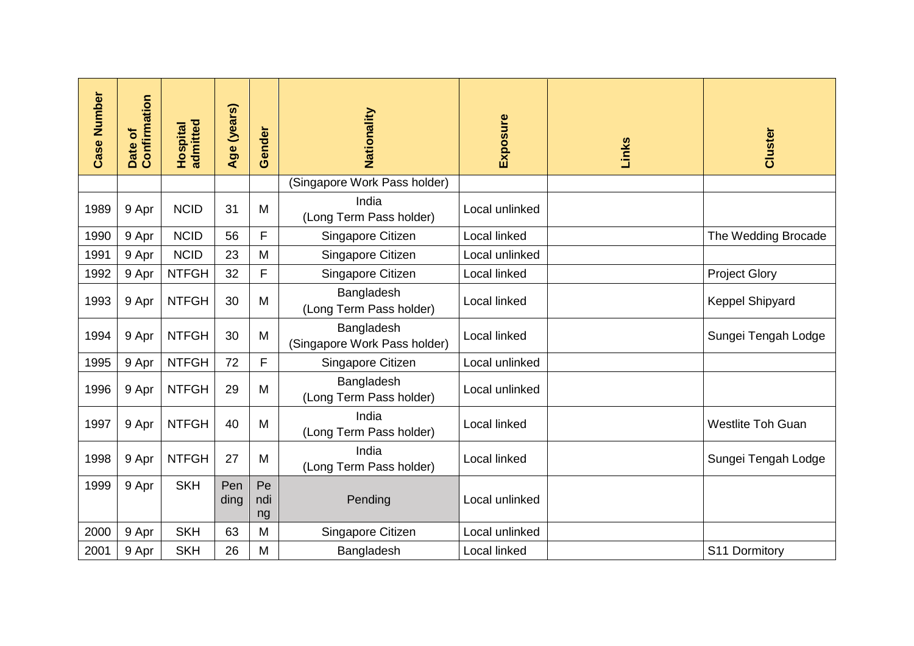| <b>Case Number</b> | Confirmation<br>Date of | <b>Hospital</b><br>admitted | Age (years) | Gender    | Nationality                                | Exposure       | Links | Cluster                  |
|--------------------|-------------------------|-----------------------------|-------------|-----------|--------------------------------------------|----------------|-------|--------------------------|
|                    |                         |                             |             |           | (Singapore Work Pass holder)               |                |       |                          |
| 1989               | 9 Apr                   | <b>NCID</b>                 | 31          | M         | India<br>(Long Term Pass holder)           | Local unlinked |       |                          |
| 1990               | 9 Apr                   | <b>NCID</b>                 | 56          | F         | Singapore Citizen                          | Local linked   |       | The Wedding Brocade      |
| 1991               | 9 Apr                   | <b>NCID</b>                 | 23          | M         | Singapore Citizen                          | Local unlinked |       |                          |
| 1992               | 9 Apr                   | <b>NTFGH</b>                | 32          | F         | Singapore Citizen                          | Local linked   |       | <b>Project Glory</b>     |
| 1993               | 9 Apr                   | <b>NTFGH</b>                | 30          | M         | Bangladesh<br>(Long Term Pass holder)      | Local linked   |       | Keppel Shipyard          |
| 1994               | 9 Apr                   | <b>NTFGH</b>                | 30          | M         | Bangladesh<br>(Singapore Work Pass holder) | Local linked   |       | Sungei Tengah Lodge      |
| 1995               | 9 Apr                   | <b>NTFGH</b>                | 72          | F         | Singapore Citizen                          | Local unlinked |       |                          |
| 1996               | 9 Apr                   | <b>NTFGH</b>                | 29          | M         | Bangladesh<br>(Long Term Pass holder)      | Local unlinked |       |                          |
| 1997               | 9 Apr                   | <b>NTFGH</b>                | 40          | M         | India<br>(Long Term Pass holder)           | Local linked   |       | <b>Westlite Toh Guan</b> |
| 1998               | 9 Apr                   | <b>NTFGH</b>                | 27          | M         | India<br>(Long Term Pass holder)           | Local linked   |       | Sungei Tengah Lodge      |
| 1999               | 9 Apr                   | <b>SKH</b>                  | Pen         | Pe        |                                            |                |       |                          |
|                    |                         |                             | ding        | ndi<br>ng | Pending                                    | Local unlinked |       |                          |
| 2000               | 9 Apr                   | <b>SKH</b>                  | 63          | M         | Singapore Citizen                          | Local unlinked |       |                          |
| 2001               | 9 Apr                   | <b>SKH</b>                  | 26          | M         | Bangladesh                                 | Local linked   |       | S11 Dormitory            |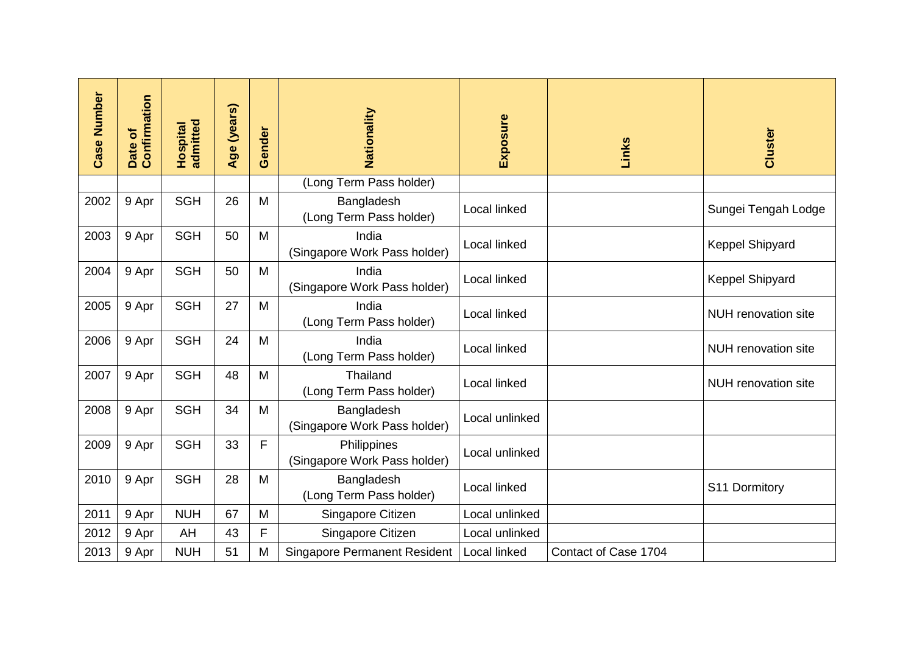| <b>Case Number</b> | Confirmation<br>Date of | admitted<br>Hospital | Age (years) | Gender | Nationality                                 | Exposure       | Links                | Cluster                    |
|--------------------|-------------------------|----------------------|-------------|--------|---------------------------------------------|----------------|----------------------|----------------------------|
|                    |                         |                      |             |        | (Long Term Pass holder)                     |                |                      |                            |
| 2002               | 9 Apr                   | <b>SGH</b>           | 26          | M      | Bangladesh<br>(Long Term Pass holder)       | Local linked   |                      | Sungei Tengah Lodge        |
| 2003               | 9 Apr                   | <b>SGH</b>           | 50          | M      | India<br>(Singapore Work Pass holder)       | Local linked   |                      | Keppel Shipyard            |
| 2004               | 9 Apr                   | <b>SGH</b>           | 50          | M      | India<br>(Singapore Work Pass holder)       | Local linked   |                      | Keppel Shipyard            |
| 2005               | 9 Apr                   | <b>SGH</b>           | 27          | M      | India<br>(Long Term Pass holder)            | Local linked   |                      | <b>NUH</b> renovation site |
| 2006               | 9 Apr                   | <b>SGH</b>           | 24          | M      | India<br>(Long Term Pass holder)            | Local linked   |                      | NUH renovation site        |
| 2007               | 9 Apr                   | <b>SGH</b>           | 48          | M      | Thailand<br>(Long Term Pass holder)         | Local linked   |                      | <b>NUH</b> renovation site |
| 2008               | 9 Apr                   | <b>SGH</b>           | 34          | M      | Bangladesh<br>(Singapore Work Pass holder)  | Local unlinked |                      |                            |
| 2009               | 9 Apr                   | <b>SGH</b>           | 33          | F      | Philippines<br>(Singapore Work Pass holder) | Local unlinked |                      |                            |
| 2010               | 9 Apr                   | <b>SGH</b>           | 28          | M      | Bangladesh<br>(Long Term Pass holder)       | Local linked   |                      | S11 Dormitory              |
| 2011               | 9 Apr                   | <b>NUH</b>           | 67          | M      | Singapore Citizen                           | Local unlinked |                      |                            |
| 2012               | 9 Apr                   | AH                   | 43          | F      | Singapore Citizen                           | Local unlinked |                      |                            |
| 2013               | 9 Apr                   | <b>NUH</b>           | 51          | M      | <b>Singapore Permanent Resident</b>         | Local linked   | Contact of Case 1704 |                            |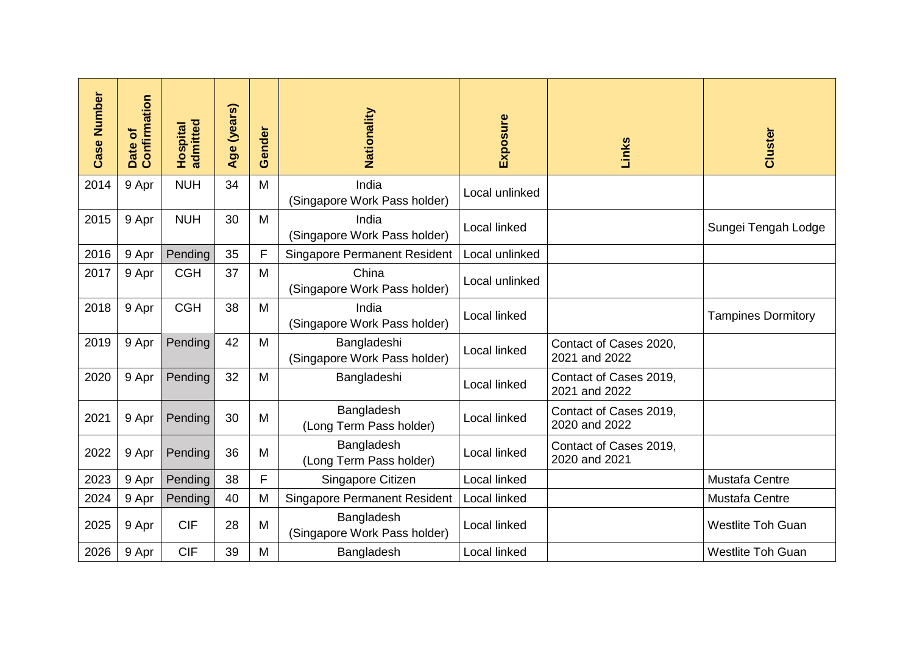| <b>Case Number</b> | Confirmation<br>৳<br>Date | admitted<br>Hospital | Age (years) | ender<br>Ŏ | Nationality                                 | Exposure            | Links                                   | Cluster                   |
|--------------------|---------------------------|----------------------|-------------|------------|---------------------------------------------|---------------------|-----------------------------------------|---------------------------|
| 2014               | 9 Apr                     | <b>NUH</b>           | 34          | M          | India<br>(Singapore Work Pass holder)       | Local unlinked      |                                         |                           |
| 2015               | 9 Apr                     | <b>NUH</b>           | 30          | M          | India<br>(Singapore Work Pass holder)       | Local linked        |                                         | Sungei Tengah Lodge       |
| 2016               | 9 Apr                     | Pending              | 35          | F          | <b>Singapore Permanent Resident</b>         | Local unlinked      |                                         |                           |
| 2017               | 9 Apr                     | <b>CGH</b>           | 37          | M          | China<br>(Singapore Work Pass holder)       | Local unlinked      |                                         |                           |
| 2018               | 9 Apr                     | <b>CGH</b>           | 38          | M          | India<br>(Singapore Work Pass holder)       | Local linked        |                                         | <b>Tampines Dormitory</b> |
| 2019               | 9 Apr                     | Pending              | 42          | M          | Bangladeshi<br>(Singapore Work Pass holder) | Local linked        | Contact of Cases 2020,<br>2021 and 2022 |                           |
| 2020               | 9 Apr                     | Pending              | 32          | M          | Bangladeshi                                 | Local linked        | Contact of Cases 2019,<br>2021 and 2022 |                           |
| 2021               | 9 Apr                     | Pending              | 30          | M          | Bangladesh<br>(Long Term Pass holder)       | Local linked        | Contact of Cases 2019,<br>2020 and 2022 |                           |
| 2022               | 9 Apr                     | Pending              | 36          | M          | Bangladesh<br>(Long Term Pass holder)       | Local linked        | Contact of Cases 2019,<br>2020 and 2021 |                           |
| 2023               | 9 Apr                     | Pending              | 38          | F          | Singapore Citizen                           | <b>Local linked</b> |                                         | Mustafa Centre            |
| 2024               | 9 Apr                     | Pending              | 40          | M          | <b>Singapore Permanent Resident</b>         | Local linked        |                                         | Mustafa Centre            |
| 2025               | 9 Apr                     | <b>CIF</b>           | 28          | M          | Bangladesh<br>(Singapore Work Pass holder)  | Local linked        |                                         | <b>Westlite Toh Guan</b>  |
| 2026               | 9 Apr                     | <b>CIF</b>           | 39          | M          | Bangladesh                                  | Local linked        |                                         | <b>Westlite Toh Guan</b>  |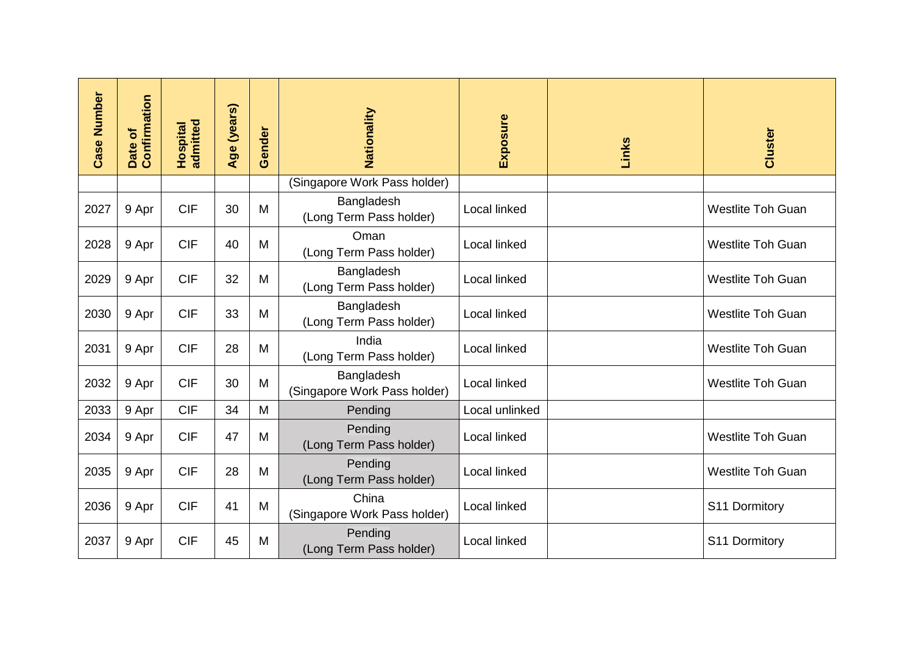| <b>Case Number</b> | Confirmation<br>Date of | <b>Hospital</b><br>admitted | Age (years) | Gender | Nationality                                | Exposure       | Links | Cluster                  |
|--------------------|-------------------------|-----------------------------|-------------|--------|--------------------------------------------|----------------|-------|--------------------------|
|                    |                         |                             |             |        | (Singapore Work Pass holder)               |                |       |                          |
| 2027               | 9 Apr                   | <b>CIF</b>                  | 30          | M      | Bangladesh<br>(Long Term Pass holder)      | Local linked   |       | <b>Westlite Toh Guan</b> |
| 2028               | 9 Apr                   | <b>CIF</b>                  | 40          | M      | Oman<br>(Long Term Pass holder)            | Local linked   |       | <b>Westlite Toh Guan</b> |
| 2029               | 9 Apr                   | <b>CIF</b>                  | 32          | M      | Bangladesh<br>(Long Term Pass holder)      | Local linked   |       | <b>Westlite Toh Guan</b> |
| 2030               | 9 Apr                   | <b>CIF</b>                  | 33          | M      | Bangladesh<br>(Long Term Pass holder)      | Local linked   |       | <b>Westlite Toh Guan</b> |
| 2031               | 9 Apr                   | <b>CIF</b>                  | 28          | M      | India<br>(Long Term Pass holder)           | Local linked   |       | <b>Westlite Toh Guan</b> |
| 2032               | 9 Apr                   | <b>CIF</b>                  | 30          | M      | Bangladesh<br>(Singapore Work Pass holder) | Local linked   |       | <b>Westlite Toh Guan</b> |
| 2033               | 9 Apr                   | <b>CIF</b>                  | 34          | M      | Pending                                    | Local unlinked |       |                          |
| 2034               | 9 Apr                   | <b>CIF</b>                  | 47          | M      | Pending<br>(Long Term Pass holder)         | Local linked   |       | <b>Westlite Toh Guan</b> |
| 2035               | 9 Apr                   | <b>CIF</b>                  | 28          | M      | Pending<br>(Long Term Pass holder)         | Local linked   |       | <b>Westlite Toh Guan</b> |
| 2036               | 9 Apr                   | <b>CIF</b>                  | 41          | M      | China<br>(Singapore Work Pass holder)      | Local linked   |       | S11 Dormitory            |
| 2037               | 9 Apr                   | <b>CIF</b>                  | 45          | M      | Pending<br>(Long Term Pass holder)         | Local linked   |       | S11 Dormitory            |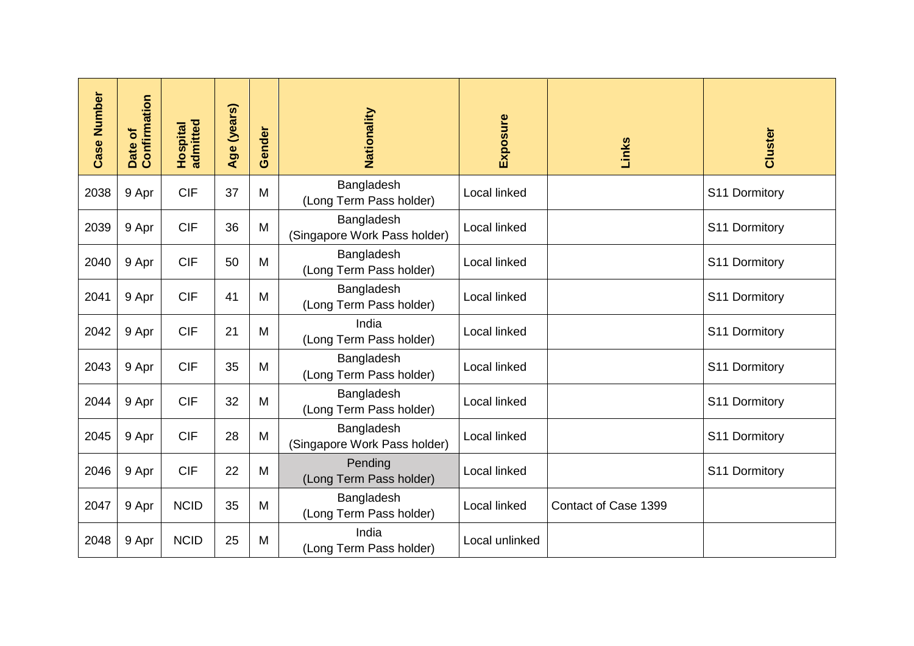| <b>Case Number</b> | Confirmation<br>Date of | admitted<br>Hospital | Age (years) | Gender | Nationality                                | Exposure       | Links                | Cluster       |
|--------------------|-------------------------|----------------------|-------------|--------|--------------------------------------------|----------------|----------------------|---------------|
| 2038               | 9 Apr                   | <b>CIF</b>           | 37          | M      | Bangladesh<br>(Long Term Pass holder)      | Local linked   |                      | S11 Dormitory |
| 2039               | 9 Apr                   | <b>CIF</b>           | 36          | M      | Bangladesh<br>(Singapore Work Pass holder) | Local linked   |                      | S11 Dormitory |
| 2040               | 9 Apr                   | <b>CIF</b>           | 50          | M      | Bangladesh<br>(Long Term Pass holder)      | Local linked   |                      | S11 Dormitory |
| 2041               | 9 Apr                   | <b>CIF</b>           | 41          | M      | Bangladesh<br>(Long Term Pass holder)      | Local linked   |                      | S11 Dormitory |
| 2042               | 9 Apr                   | <b>CIF</b>           | 21          | M      | India<br>(Long Term Pass holder)           | Local linked   |                      | S11 Dormitory |
| 2043               | 9 Apr                   | <b>CIF</b>           | 35          | M      | Bangladesh<br>(Long Term Pass holder)      | Local linked   |                      | S11 Dormitory |
| 2044               | 9 Apr                   | <b>CIF</b>           | 32          | M      | Bangladesh<br>(Long Term Pass holder)      | Local linked   |                      | S11 Dormitory |
| 2045               | 9 Apr                   | <b>CIF</b>           | 28          | M      | Bangladesh<br>(Singapore Work Pass holder) | Local linked   |                      | S11 Dormitory |
| 2046               | 9 Apr                   | <b>CIF</b>           | 22          | M      | Pending<br>(Long Term Pass holder)         | Local linked   |                      | S11 Dormitory |
| 2047               | 9 Apr                   | <b>NCID</b>          | 35          | M      | Bangladesh<br>(Long Term Pass holder)      | Local linked   | Contact of Case 1399 |               |
| 2048               | 9 Apr                   | <b>NCID</b>          | 25          | M      | India<br>(Long Term Pass holder)           | Local unlinked |                      |               |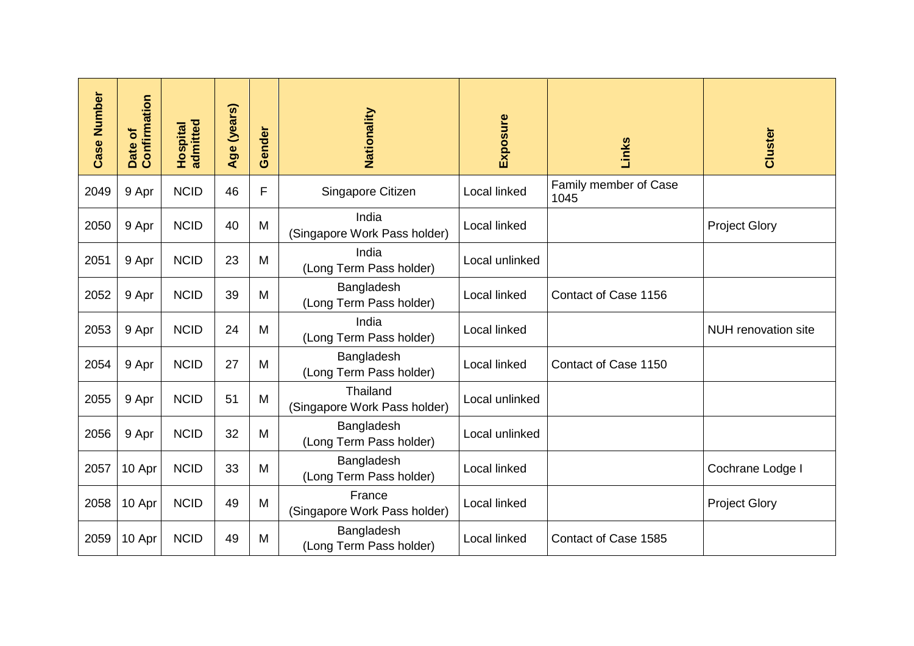| <b>Case Number</b> | Confirmation<br>Date of | admitted<br>Hospital | Age (years) | Gender | Nationality                              | Exposure            | Links                         | Cluster                    |
|--------------------|-------------------------|----------------------|-------------|--------|------------------------------------------|---------------------|-------------------------------|----------------------------|
| 2049               | 9 Apr                   | <b>NCID</b>          | 46          | F      | Singapore Citizen                        | Local linked        | Family member of Case<br>1045 |                            |
| 2050               | 9 Apr                   | <b>NCID</b>          | 40          | M      | India<br>(Singapore Work Pass holder)    | <b>Local linked</b> |                               | <b>Project Glory</b>       |
| 2051               | 9 Apr                   | <b>NCID</b>          | 23          | M      | India<br>(Long Term Pass holder)         | Local unlinked      |                               |                            |
| 2052               | 9 Apr                   | <b>NCID</b>          | 39          | M      | Bangladesh<br>(Long Term Pass holder)    | Local linked        | Contact of Case 1156          |                            |
| 2053               | 9 Apr                   | <b>NCID</b>          | 24          | M      | India<br>(Long Term Pass holder)         | Local linked        |                               | <b>NUH</b> renovation site |
| 2054               | 9 Apr                   | <b>NCID</b>          | 27          | M      | Bangladesh<br>(Long Term Pass holder)    | Local linked        | Contact of Case 1150          |                            |
| 2055               | 9 Apr                   | <b>NCID</b>          | 51          | M      | Thailand<br>(Singapore Work Pass holder) | Local unlinked      |                               |                            |
| 2056               | 9 Apr                   | <b>NCID</b>          | 32          | M      | Bangladesh<br>(Long Term Pass holder)    | Local unlinked      |                               |                            |
| 2057               | 10 Apr                  | <b>NCID</b>          | 33          | M      | Bangladesh<br>(Long Term Pass holder)    | Local linked        |                               | Cochrane Lodge I           |
| 2058               | 10 Apr                  | <b>NCID</b>          | 49          | M      | France<br>(Singapore Work Pass holder)   | <b>Local linked</b> |                               | <b>Project Glory</b>       |
| 2059               | 10 Apr                  | <b>NCID</b>          | 49          | M      | Bangladesh<br>(Long Term Pass holder)    | Local linked        | Contact of Case 1585          |                            |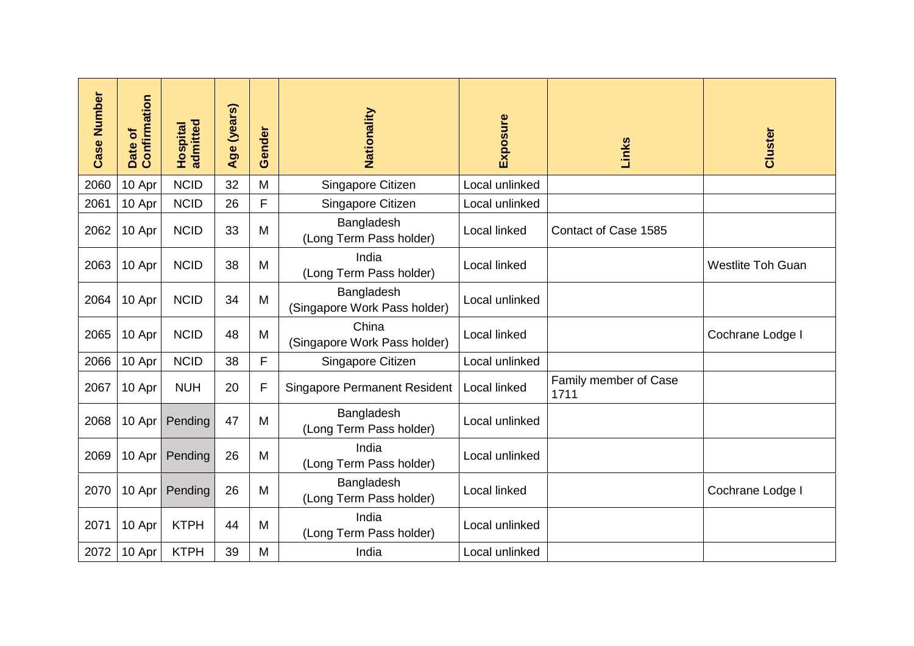| <b>Case Number</b> | Confirmation<br>Date of | admitted<br>Hospital | Age (years) | Gender | Nationality                                | Exposure       | Links                         | Cluster                  |
|--------------------|-------------------------|----------------------|-------------|--------|--------------------------------------------|----------------|-------------------------------|--------------------------|
| 2060               | 10 Apr                  | <b>NCID</b>          | 32          | M      | Singapore Citizen                          | Local unlinked |                               |                          |
| 2061               | 10 Apr                  | <b>NCID</b>          | 26          | F      | Singapore Citizen                          | Local unlinked |                               |                          |
| 2062               | 10 Apr                  | <b>NCID</b>          | 33          | M      | Bangladesh<br>(Long Term Pass holder)      | Local linked   | Contact of Case 1585          |                          |
| 2063               | 10 Apr                  | <b>NCID</b>          | 38          | M      | India<br>(Long Term Pass holder)           | Local linked   |                               | <b>Westlite Toh Guan</b> |
| 2064               | 10 Apr                  | <b>NCID</b>          | 34          | M      | Bangladesh<br>(Singapore Work Pass holder) | Local unlinked |                               |                          |
| 2065               | 10 Apr                  | <b>NCID</b>          | 48          | M      | China<br>(Singapore Work Pass holder)      | Local linked   |                               | Cochrane Lodge I         |
| 2066               | 10 Apr                  | <b>NCID</b>          | 38          | F      | Singapore Citizen                          | Local unlinked |                               |                          |
| 2067               | 10 Apr                  | <b>NUH</b>           | 20          | F      | <b>Singapore Permanent Resident</b>        | Local linked   | Family member of Case<br>1711 |                          |
| 2068               | 10 Apr                  | Pending              | 47          | M      | Bangladesh<br>(Long Term Pass holder)      | Local unlinked |                               |                          |
| 2069               | 10 Apr                  | Pending              | 26          | M      | India<br>(Long Term Pass holder)           | Local unlinked |                               |                          |
| 2070               | 10 Apr                  | Pending              | 26          | M      | Bangladesh<br>(Long Term Pass holder)      | Local linked   |                               | Cochrane Lodge I         |
| 2071               | 10 Apr                  | <b>KTPH</b>          | 44          | M      | India<br>(Long Term Pass holder)           | Local unlinked |                               |                          |
| 2072               | 10 Apr                  | <b>KTPH</b>          | 39          | M      | India                                      | Local unlinked |                               |                          |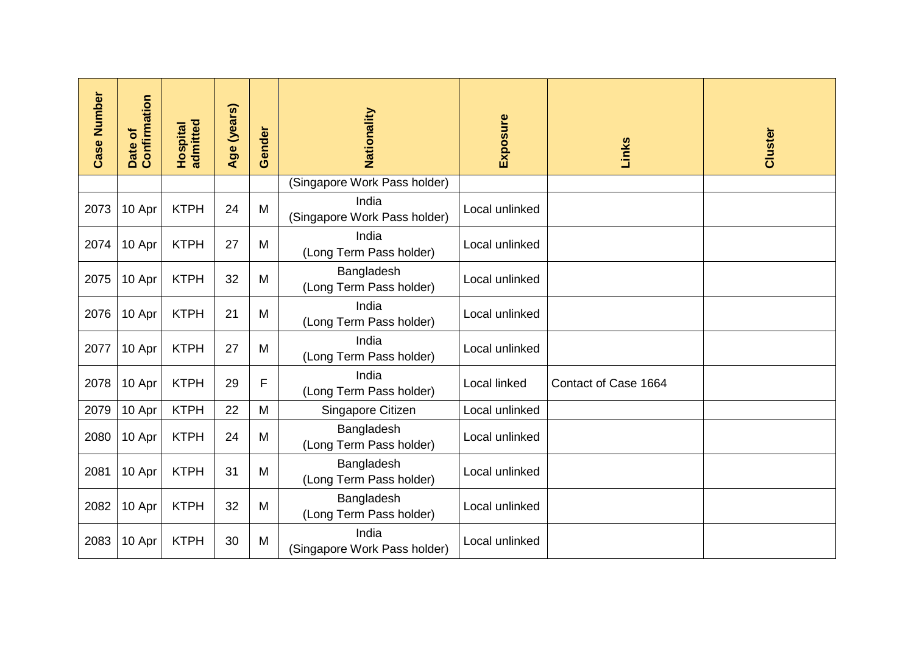| <b>Case Number</b> | Confirmation<br>Date of | admitted<br>Hospital | Age (years) | Gender | Nationality                           | Exposure       | Links                | Cluster |
|--------------------|-------------------------|----------------------|-------------|--------|---------------------------------------|----------------|----------------------|---------|
|                    |                         |                      |             |        | (Singapore Work Pass holder)          |                |                      |         |
| 2073               | 10 Apr                  | <b>KTPH</b>          | 24          | M      | India<br>(Singapore Work Pass holder) | Local unlinked |                      |         |
| 2074               | 10 Apr                  | <b>KTPH</b>          | 27          | M      | India<br>(Long Term Pass holder)      | Local unlinked |                      |         |
| 2075               | 10 Apr                  | <b>KTPH</b>          | 32          | M      | Bangladesh<br>(Long Term Pass holder) | Local unlinked |                      |         |
| 2076               | 10 Apr                  | <b>KTPH</b>          | 21          | M      | India<br>(Long Term Pass holder)      | Local unlinked |                      |         |
| 2077               | 10 Apr                  | <b>KTPH</b>          | 27          | M      | India<br>(Long Term Pass holder)      | Local unlinked |                      |         |
| 2078               | 10 Apr                  | <b>KTPH</b>          | 29          | F      | India<br>(Long Term Pass holder)      | Local linked   | Contact of Case 1664 |         |
| 2079               | 10 Apr                  | <b>KTPH</b>          | 22          | M      | Singapore Citizen                     | Local unlinked |                      |         |
| 2080               | 10 Apr                  | <b>KTPH</b>          | 24          | M      | Bangladesh<br>(Long Term Pass holder) | Local unlinked |                      |         |
| 2081               | 10 Apr                  | <b>KTPH</b>          | 31          | M      | Bangladesh<br>(Long Term Pass holder) | Local unlinked |                      |         |
| 2082               | 10 Apr                  | <b>KTPH</b>          | 32          | M      | Bangladesh<br>(Long Term Pass holder) | Local unlinked |                      |         |
| 2083               | 10 Apr                  | <b>KTPH</b>          | 30          | M      | India<br>(Singapore Work Pass holder) | Local unlinked |                      |         |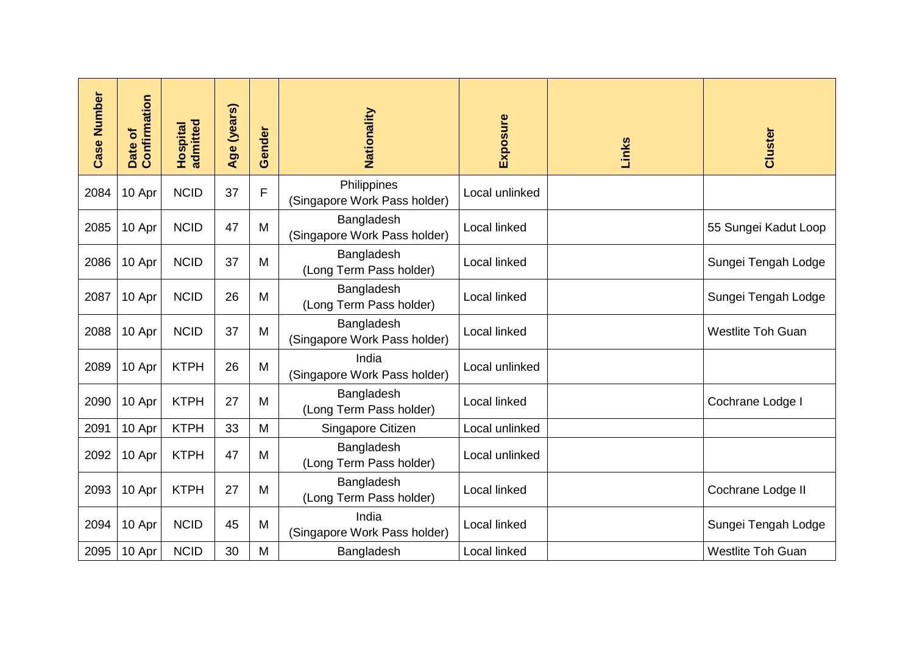| <b>Case Number</b> | Confirmation<br>৳<br>Date | admitted<br>Hospital | Age (years) | Gender | Nationality                                 | Exposure       | Links | Cluster                  |
|--------------------|---------------------------|----------------------|-------------|--------|---------------------------------------------|----------------|-------|--------------------------|
| 2084               | 10 Apr                    | <b>NCID</b>          | 37          | F      | Philippines<br>(Singapore Work Pass holder) | Local unlinked |       |                          |
| 2085               | 10 Apr                    | <b>NCID</b>          | 47          | M      | Bangladesh<br>(Singapore Work Pass holder)  | Local linked   |       | 55 Sungei Kadut Loop     |
| 2086               | 10 Apr                    | <b>NCID</b>          | 37          | M      | Bangladesh<br>(Long Term Pass holder)       | Local linked   |       | Sungei Tengah Lodge      |
| 2087               | 10 Apr                    | <b>NCID</b>          | 26          | M      | Bangladesh<br>(Long Term Pass holder)       | Local linked   |       | Sungei Tengah Lodge      |
| 2088               | 10 Apr                    | <b>NCID</b>          | 37          | M      | Bangladesh<br>(Singapore Work Pass holder)  | Local linked   |       | <b>Westlite Toh Guan</b> |
| 2089               | 10 Apr                    | <b>KTPH</b>          | 26          | M      | India<br>(Singapore Work Pass holder)       | Local unlinked |       |                          |
| 2090               | 10 Apr                    | <b>KTPH</b>          | 27          | M      | Bangladesh<br>(Long Term Pass holder)       | Local linked   |       | Cochrane Lodge I         |
| 2091               | 10 Apr                    | <b>KTPH</b>          | 33          | M      | Singapore Citizen                           | Local unlinked |       |                          |
| 2092               | 10 Apr                    | <b>KTPH</b>          | 47          | M      | Bangladesh<br>(Long Term Pass holder)       | Local unlinked |       |                          |
| 2093               | 10 Apr                    | <b>KTPH</b>          | 27          | M      | Bangladesh<br>(Long Term Pass holder)       | Local linked   |       | Cochrane Lodge II        |
| 2094               | 10 Apr                    | <b>NCID</b>          | 45          | M      | India<br>(Singapore Work Pass holder)       | Local linked   |       | Sungei Tengah Lodge      |
| 2095               | 10 Apr                    | <b>NCID</b>          | 30          | M      | Bangladesh                                  | Local linked   |       | <b>Westlite Toh Guan</b> |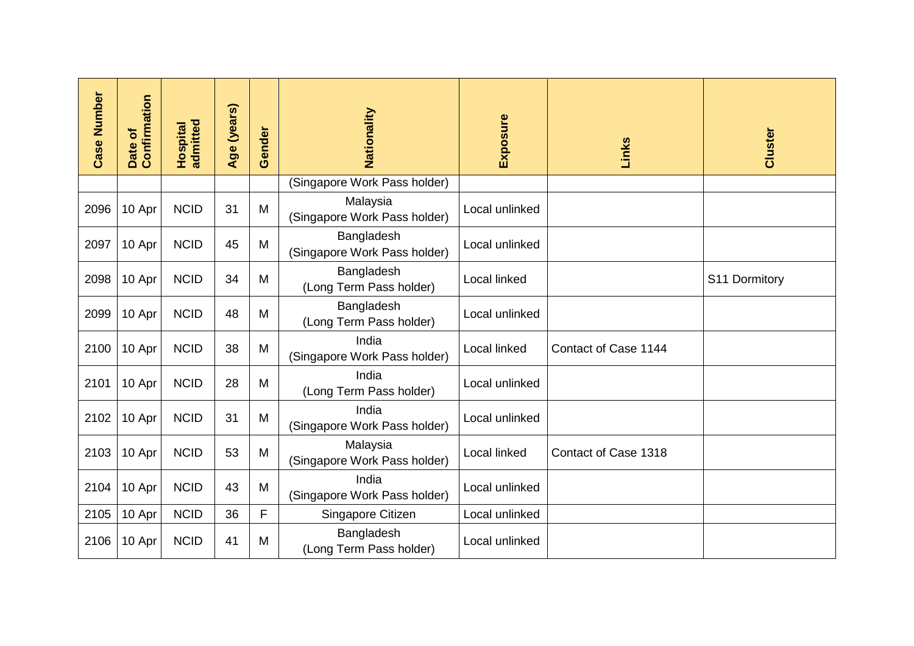| <b>Case Number</b> | Confirmation<br>৳<br>Date | <b>Hospital</b><br>admitted | Age (years) | Gender | Nationality                                | Exposure       | Links                | Cluster       |
|--------------------|---------------------------|-----------------------------|-------------|--------|--------------------------------------------|----------------|----------------------|---------------|
|                    |                           |                             |             |        | (Singapore Work Pass holder)               |                |                      |               |
| 2096               | 10 Apr                    | <b>NCID</b>                 | 31          | M      | Malaysia<br>(Singapore Work Pass holder)   | Local unlinked |                      |               |
| 2097               | 10 Apr                    | <b>NCID</b>                 | 45          | M      | Bangladesh<br>(Singapore Work Pass holder) | Local unlinked |                      |               |
| 2098               | 10 Apr                    | <b>NCID</b>                 | 34          | M      | Bangladesh<br>(Long Term Pass holder)      | Local linked   |                      | S11 Dormitory |
| 2099               | 10 Apr                    | <b>NCID</b>                 | 48          | M      | Bangladesh<br>(Long Term Pass holder)      | Local unlinked |                      |               |
| 2100               | 10 Apr                    | <b>NCID</b>                 | 38          | M      | India<br>(Singapore Work Pass holder)      | Local linked   | Contact of Case 1144 |               |
| 2101               | 10 Apr                    | <b>NCID</b>                 | 28          | M      | India<br>(Long Term Pass holder)           | Local unlinked |                      |               |
| 2102               | 10 Apr                    | <b>NCID</b>                 | 31          | M      | India<br>(Singapore Work Pass holder)      | Local unlinked |                      |               |
| 2103               | 10 Apr                    | <b>NCID</b>                 | 53          | M      | Malaysia<br>(Singapore Work Pass holder)   | Local linked   | Contact of Case 1318 |               |
| 2104               | 10 Apr                    | <b>NCID</b>                 | 43          | M      | India<br>(Singapore Work Pass holder)      | Local unlinked |                      |               |
| 2105               | 10 Apr                    | <b>NCID</b>                 | 36          | F      | Singapore Citizen                          | Local unlinked |                      |               |
| 2106               | 10 Apr                    | <b>NCID</b>                 | 41          | M      | Bangladesh<br>(Long Term Pass holder)      | Local unlinked |                      |               |